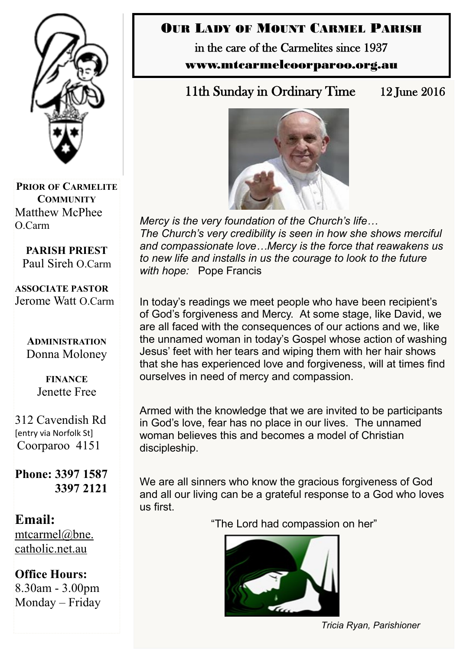

**PRIOR OF CARMELITE COMMUNITY** Matthew McPhee O.Carm

**PARISH PRIEST** Paul Sireh O.Carm

**ASSOCIATE PASTOR** Jerome Watt O.Carm

> **ADMINISTRATION** Donna Moloney

> > **FINANCE**  Jenette Free

312 Cavendish Rd [entry via Norfolk St] Coorparoo 4151

**Phone: 3397 1587 3397 2121**

**Email:** [mtcarmel@bne.](mailto:mtcarmel@bne.catholic.net.au)  [catholic.net.au](mailto:mtcarmel@bne.catholic.net.au)

**Office Hours:**  8.30am - 3.00pm Monday – Friday

# OUR LADY OF MOUNT CARMEL PARISH

in the care of the Carmelites since 1937 www.mtcarmelcoorparoo.org.au

11th Sunday in Ordinary Time 12 June 2016



*Mercy is the very foundation of the Church's life… The Church's very credibility is seen in how she shows merciful and compassionate love…Mercy is the force that reawakens us to new life and installs in us the courage to look to the future with hope:* Pope Francis

In today's readings we meet people who have been recipient's of God's forgiveness and Mercy. At some stage, like David, we are all faced with the consequences of our actions and we, like the unnamed woman in today's Gospel whose action of washing Jesus' feet with her tears and wiping them with her hair shows that she has experienced love and forgiveness, will at times find ourselves in need of mercy and compassion.

Armed with the knowledge that we are invited to be participants in God's love, fear has no place in our lives. The unnamed woman believes this and becomes a model of Christian discipleship.

We are all sinners who know the gracious forgiveness of God and all our living can be a grateful response to a God who loves us first.

"The Lord had compassion on her"



*Tricia Ryan, Parishioner*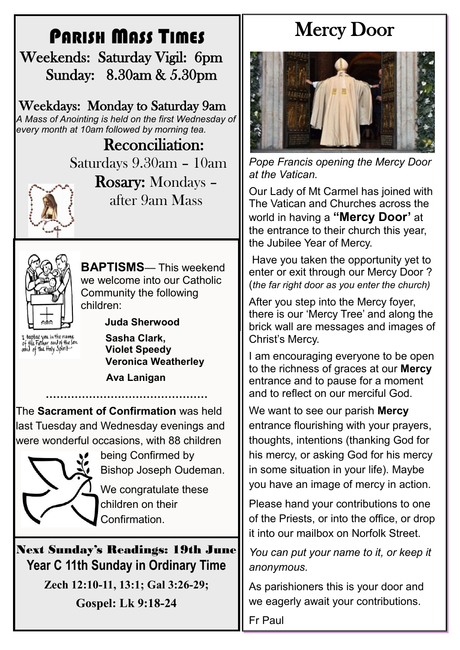# PARISH MASS TIMES

 Weekends: Saturday Vigil: 6pm Sunday: 8.30am & 5.30pm

Weekdays: Monday to Saturday 9am *A Mass of Anointing is held on the first Wednesday of every month at 10am followed by morning tea.*

> Reconciliation: Saturdays 9.30am – 10am



Rosary: Mondays – after 9am Mass



children:  **Juda Sherwood**

Community the following

I baptize you in the name<br>of the Father and of the son<br>oond of the floty Spirit

**Sasha Clark, Violet Speedy** 

**BAPTISMS**— This weekend we welcome into our Catholic

**Veronica Weatherley**

**Ava Lanigan**

The **Sacrament of Confirmation** was held last Tuesday and Wednesday evenings and were wonderful occasions, with 88 children

**………………………………………**



being Confirmed by Bishop Joseph Oudeman. We congratulate these

children on their Confirmation.

Next Sunday's Readings: 19th June **Year C 11th Sunday in Ordinary Time**

> **Zech 12:10-11, 13:1; Gal 3:26-29; Gospel: Lk 9:18-24**

# Mercy Door



*Pope Francis opening the Mercy Door at the Vatican.*

Our Lady of Mt Carmel has joined with The Vatican and Churches across the world in having a **"Mercy Door'** at the entrance to their church this year, the Jubilee Year of Mercy.

Have you taken the opportunity yet to enter or exit through our Mercy Door ? (*the far right door as you enter the church)*

After you step into the Mercy foyer, there is our 'Mercy Tree' and along the brick wall are messages and images of Christ's Mercy.

I am encouraging everyone to be open to the richness of graces at our **Mercy**  entrance and to pause for a moment and to reflect on our merciful God.

We want to see our parish **Mercy**  entrance flourishing with your prayers, thoughts, intentions (thanking God for his mercy, or asking God for his mercy in some situation in your life). Maybe you have an image of mercy in action.

Please hand your contributions to one of the Priests, or into the office, or drop it into our mailbox on Norfolk Street.

*You can put your name to it, or keep it anonymous.*

As parishioners this is your door and we eagerly await your contributions.

Fr Paul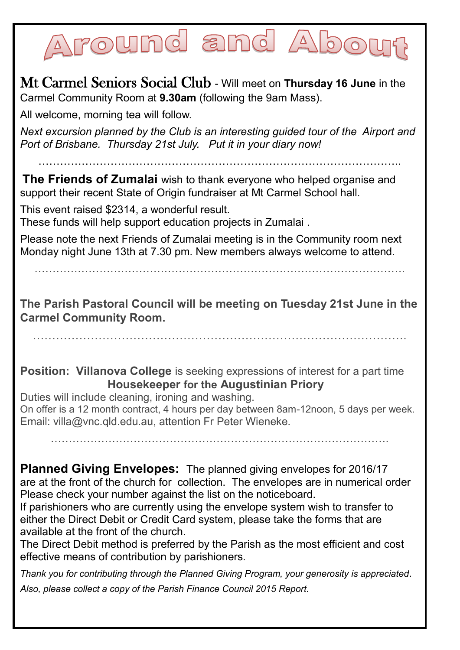# round and Abo

Mt Carmel Seniors Social Club - Will meet on **Thursday 16 June** in the Carmel Community Room at **9.30am** (following the 9am Mass).

All welcome, morning tea will follow.

*Next excursion planned by the Club is an interesting guided tour of the Airport and Port of Brisbane. Thursday 21st July. Put it in your diary now!*

………………………………………………………………………………………..

**The Friends of Zumalai** wish to thank everyone who helped organise and support their recent State of Origin fundraiser at Mt Carmel School hall.

This event raised \$2314, a wonderful result. These funds will help support education projects in Zumalai .

Please note the next Friends of Zumalai meeting is in the Community room next Monday night June 13th at 7.30 pm. New members always welcome to attend.

**The Parish Pastoral Council will be meeting on Tuesday 21st June in the Carmel Community Room.**

…………………………………………………………………………………….

**Position: Villanova College** is seeking expressions of interest for a part time **Housekeeper for the Augustinian Priory**

Duties will include cleaning, ironing and washing. On offer is a 12 month contract, 4 hours per day between 8am-12noon, 5 days per week. Email: villa@vnc.qld.edu.au, attention Fr Peter Wieneke.

………………………………………………………………………………….

**Planned Giving Envelopes:** The planned giving envelopes for 2016/17 are at the front of the church for collection. The envelopes are in numerical order Please check your number against the list on the noticeboard.

If parishioners who are currently using the envelope system wish to transfer to either the Direct Debit or Credit Card system, please take the forms that are available at the front of the church.

The Direct Debit method is preferred by the Parish as the most efficient and cost effective means of contribution by parishioners.

*Thank you for contributing through the Planned Giving Program, your generosity is appreciated. Also, please collect a copy of the Parish Finance Council 2015 Report.*